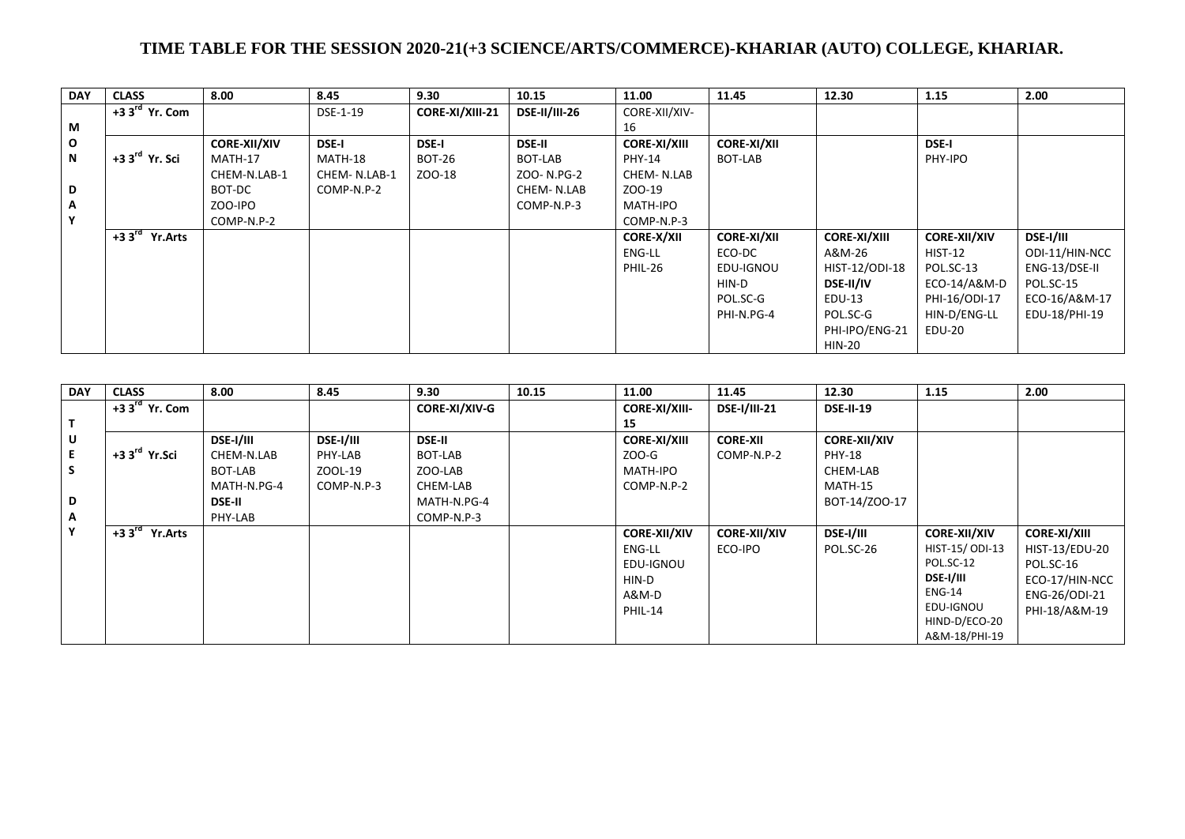## **TIME TABLE FOR THE SESSION 2020-21(+3 SCIENCE/ARTS/COMMERCE)-KHARIAR (AUTO) COLLEGE, KHARIAR.**

| <b>DAY</b>   | <b>CLASS</b>              | 8.00                | 8.45         | 9.30            | 10.15                | 11.00               | 11.45              | 12.30               | 1.15                | 2.00             |
|--------------|---------------------------|---------------------|--------------|-----------------|----------------------|---------------------|--------------------|---------------------|---------------------|------------------|
|              | $+33rd$ Yr. Com           |                     | DSE-1-19     | CORE-XI/XIII-21 | <b>DSE-II/III-26</b> | CORE-XII/XIV-       |                    |                     |                     |                  |
| М            |                           |                     |              |                 |                      | 16                  |                    |                     |                     |                  |
| $\mathbf{o}$ |                           | <b>CORE-XII/XIV</b> | <b>DSE-I</b> | <b>DSE-I</b>    | <b>DSE-II</b>        | <b>CORE-XI/XIII</b> | <b>CORE-XI/XII</b> |                     | <b>DSE-I</b>        |                  |
| N            | $+33^{\text{rd}}$ Yr. Sci | MATH-17             | MATH-18      | <b>BOT-26</b>   | BOT-LAB              | PHY-14              | BOT-LAB            |                     | PHY-IPO             |                  |
|              |                           | CHEM-N.LAB-1        | CHEM-N.LAB-1 | ZOO-18          | ZOO-N.PG-2           | CHEM-N.LAB          |                    |                     |                     |                  |
| D            |                           | BOT-DC              | COMP-N.P-2   |                 | CHEM-N.LAB           | ZOO-19              |                    |                     |                     |                  |
| $\mathsf{A}$ |                           | ZOO-IPO             |              |                 | COMP-N.P-3           | MATH-IPO            |                    |                     |                     |                  |
| Y            |                           | COMP-N.P-2          |              |                 |                      | COMP-N.P-3          |                    |                     |                     |                  |
|              | $+33rd$ Yr. Arts          |                     |              |                 |                      | <b>CORE-X/XII</b>   | <b>CORE-XI/XII</b> | <b>CORE-XI/XIII</b> | <b>CORE-XII/XIV</b> | <b>DSE-I/III</b> |
|              |                           |                     |              |                 |                      | ENG-LL              | ECO-DC             | A&M-26              | $HIST-12$           | ODI-11/HIN-NCC   |
|              |                           |                     |              |                 |                      | PHIL-26             | EDU-IGNOU          | HIST-12/ODI-18      | POL.SC-13           | ENG-13/DSE-II    |
|              |                           |                     |              |                 |                      |                     | HIN-D              | <b>DSE-II/IV</b>    | ECO-14/A&M-D        | POL.SC-15        |
|              |                           |                     |              |                 |                      |                     | POL.SC-G           | EDU-13              | PHI-16/ODI-17       | ECO-16/A&M-17    |
|              |                           |                     |              |                 |                      |                     | PHI-N.PG-4         | POL.SC-G            | HIN-D/ENG-LL        | EDU-18/PHI-19    |
|              |                           |                     |              |                 |                      |                     |                    | PHI-IPO/ENG-21      | EDU-20              |                  |
|              |                           |                     |              |                 |                      |                     |                    | HIN-20              |                     |                  |

| <b>DAY</b> | <b>CLASS</b>             | 8.00             | 8.45             | 9.30                 | 10.15 | 11.00                | 11.45               | 12.30               | 1.15                | 2.00                |
|------------|--------------------------|------------------|------------------|----------------------|-------|----------------------|---------------------|---------------------|---------------------|---------------------|
|            | $+33rd$ Yr. Com          |                  |                  | <b>CORE-XI/XIV-G</b> |       | <b>CORE-XI/XIII-</b> | <b>DSE-I/III-21</b> | <b>DSE-II-19</b>    |                     |                     |
| Т          |                          |                  |                  |                      |       | 15                   |                     |                     |                     |                     |
| U          |                          | <b>DSE-I/III</b> | <b>DSE-I/III</b> | <b>DSE-II</b>        |       | <b>CORE-XI/XIII</b>  | <b>CORE-XII</b>     | <b>CORE-XII/XIV</b> |                     |                     |
| Е          | $+33^{\text{rd}}$ Yr.Sci | CHEM-N.LAB       | PHY-LAB          | BOT-LAB              |       | ZOO-G                | COMP-N.P-2          | PHY-18              |                     |                     |
| S          |                          | BOT-LAB          | ZOOL-19          | ZOO-LAB              |       | MATH-IPO             |                     | CHEM-LAB            |                     |                     |
|            |                          | MATH-N.PG-4      | COMP-N.P-3       | CHEM-LAB             |       | COMP-N.P-2           |                     | MATH-15             |                     |                     |
| D          |                          | <b>DSE-II</b>    |                  | MATH-N.PG-4          |       |                      |                     | BOT-14/ZOO-17       |                     |                     |
| Α          |                          | PHY-LAB          |                  | COMP-N.P-3           |       |                      |                     |                     |                     |                     |
| Υ          | $+33rd$ Yr. Arts         |                  |                  |                      |       | <b>CORE-XII/XIV</b>  | <b>CORE-XII/XIV</b> | <b>DSE-I/III</b>    | <b>CORE-XII/XIV</b> | <b>CORE-XI/XIII</b> |
|            |                          |                  |                  |                      |       | ENG-LL               | ECO-IPO             | POL.SC-26           | HIST-15/ODI-13      | HIST-13/EDU-20      |
|            |                          |                  |                  |                      |       | EDU-IGNOU            |                     |                     | POL.SC-12           | POL.SC-16           |
|            |                          |                  |                  |                      |       | HIN-D                |                     |                     | <b>DSE-I/III</b>    | ECO-17/HIN-NCC      |
|            |                          |                  |                  |                      |       | A&M-D                |                     |                     | <b>ENG-14</b>       | ENG-26/ODI-21       |
|            |                          |                  |                  |                      |       | PHIL-14              |                     |                     | EDU-IGNOU           | PHI-18/A&M-19       |
|            |                          |                  |                  |                      |       |                      |                     |                     | HIND-D/ECO-20       |                     |
|            |                          |                  |                  |                      |       |                      |                     |                     | A&M-18/PHI-19       |                     |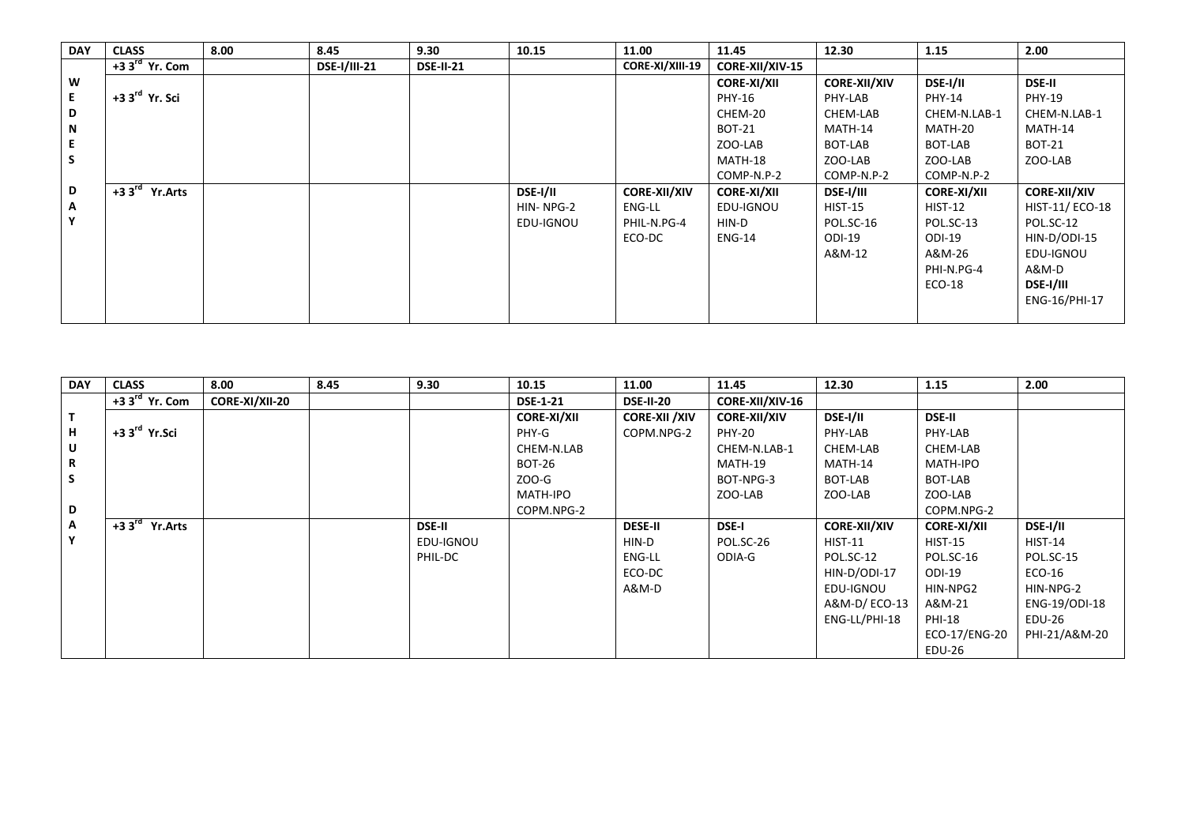| <b>DAY</b> | <b>CLASS</b>               | 8.00 | 8.45                | 9.30             | 10.15           | 11.00               | 11.45                  | 12.30               | 1.15               | 2.00                |
|------------|----------------------------|------|---------------------|------------------|-----------------|---------------------|------------------------|---------------------|--------------------|---------------------|
|            | $+33^{\text{rd}}$ Yr. Com  |      | <b>DSE-I/III-21</b> | <b>DSE-II-21</b> |                 | CORE-XI/XIII-19     | <b>CORE-XII/XIV-15</b> |                     |                    |                     |
| W          |                            |      |                     |                  |                 |                     | <b>CORE-XI/XII</b>     | <b>CORE-XII/XIV</b> | DSE-I/II           | <b>DSE-II</b>       |
| E.         | +3 3 <sup>rd</sup> Yr. Sci |      |                     |                  |                 |                     | PHY-16                 | PHY-LAB             | <b>PHY-14</b>      | <b>PHY-19</b>       |
| D          |                            |      |                     |                  |                 |                     | CHEM-20                | CHEM-LAB            | CHEM-N.LAB-1       | CHEM-N.LAB-1        |
| N          |                            |      |                     |                  |                 |                     | <b>BOT-21</b>          | MATH-14             | MATH-20            | MATH-14             |
|            |                            |      |                     |                  |                 |                     | ZOO-LAB                | BOT-LAB             | BOT-LAB            | <b>BOT-21</b>       |
| S          |                            |      |                     |                  |                 |                     | MATH-18                | ZOO-LAB             | ZOO-LAB            | ZOO-LAB             |
|            |                            |      |                     |                  |                 |                     | COMP-N.P-2             | COMP-N.P-2          | COMP-N.P-2         |                     |
| D          | $+33rd$ Yr. Arts           |      |                     |                  | <b>DSE-I/II</b> | <b>CORE-XII/XIV</b> | <b>CORE-XI/XII</b>     | <b>DSE-I/III</b>    | <b>CORE-XI/XII</b> | <b>CORE-XII/XIV</b> |
| A          |                            |      |                     |                  | HIN-NPG-2       | ENG-LL              | EDU-IGNOU              | <b>HIST-15</b>      | <b>HIST-12</b>     | HIST-11/ECO-18      |
| Υ          |                            |      |                     |                  | EDU-IGNOU       | PHIL-N.PG-4         | HIN-D                  | POL.SC-16           | POL.SC-13          | POL.SC-12           |
|            |                            |      |                     |                  |                 | ECO-DC              | <b>ENG-14</b>          | ODI-19              | ODI-19             | HIN-D/ODI-15        |
|            |                            |      |                     |                  |                 |                     |                        | A&M-12              | A&M-26             | EDU-IGNOU           |
|            |                            |      |                     |                  |                 |                     |                        |                     | PHI-N.PG-4         | A&M-D               |
|            |                            |      |                     |                  |                 |                     |                        |                     | $ECO-18$           | <b>DSE-I/III</b>    |
|            |                            |      |                     |                  |                 |                     |                        |                     |                    | ENG-16/PHI-17       |
|            |                            |      |                     |                  |                 |                     |                        |                     |                    |                     |

| <b>DAY</b> | <b>CLASS</b>             | 8.00           | 8.45 | 9.30          | 10.15              | 11.00                 | 11.45               | 12.30               | 1.15               | 2.00            |
|------------|--------------------------|----------------|------|---------------|--------------------|-----------------------|---------------------|---------------------|--------------------|-----------------|
|            | $+33rd$ Yr. Com          | CORE-XI/XII-20 |      |               | <b>DSE-1-21</b>    | <b>DSE-II-20</b>      | CORE-XII/XIV-16     |                     |                    |                 |
| T          |                          |                |      |               | <b>CORE-XI/XII</b> | <b>CORE-XII / XIV</b> | <b>CORE-XII/XIV</b> | DSE-I/II            | <b>DSE-II</b>      |                 |
| н          | $+33^{\text{rd}}$ Yr.Sci |                |      |               | PHY-G              | COPM.NPG-2            | <b>PHY-20</b>       | PHY-LAB             | PHY-LAB            |                 |
| U          |                          |                |      |               | CHEM-N.LAB         |                       | CHEM-N.LAB-1        | CHEM-LAB            | CHEM-LAB           |                 |
| R          |                          |                |      |               | <b>BOT-26</b>      |                       | MATH-19             | MATH-14             | MATH-IPO           |                 |
| S          |                          |                |      |               | ZOO-G              |                       | BOT-NPG-3           | BOT-LAB             | BOT-LAB            |                 |
|            |                          |                |      |               | MATH-IPO           |                       | ZOO-LAB             | ZOO-LAB             | ZOO-LAB            |                 |
| D          |                          |                |      |               | COPM.NPG-2         |                       |                     |                     | COPM.NPG-2         |                 |
| A          | $+33rd$ Yr. Arts         |                |      | <b>DSE-II</b> |                    | <b>DESE-II</b>        | <b>DSE-I</b>        | <b>CORE-XII/XIV</b> | <b>CORE-XI/XII</b> | <b>DSE-I/II</b> |
| Y          |                          |                |      | EDU-IGNOU     |                    | HIN-D                 | POL.SC-26           | <b>HIST-11</b>      | <b>HIST-15</b>     | <b>HIST-14</b>  |
|            |                          |                |      | PHIL-DC       |                    | ENG-LL                | ODIA-G              | POL.SC-12           | POL.SC-16          | POL.SC-15       |
|            |                          |                |      |               |                    | ECO-DC                |                     | HIN-D/ODI-17        | ODI-19             | ECO-16          |
|            |                          |                |      |               |                    | A&M-D                 |                     | EDU-IGNOU           | HIN-NPG2           | HIN-NPG-2       |
|            |                          |                |      |               |                    |                       |                     | A&M-D/ ECO-13       | A&M-21             | ENG-19/ODI-18   |
|            |                          |                |      |               |                    |                       |                     | ENG-LL/PHI-18       | <b>PHI-18</b>      | EDU-26          |
|            |                          |                |      |               |                    |                       |                     |                     | ECO-17/ENG-20      | PHI-21/A&M-20   |
|            |                          |                |      |               |                    |                       |                     |                     | EDU-26             |                 |